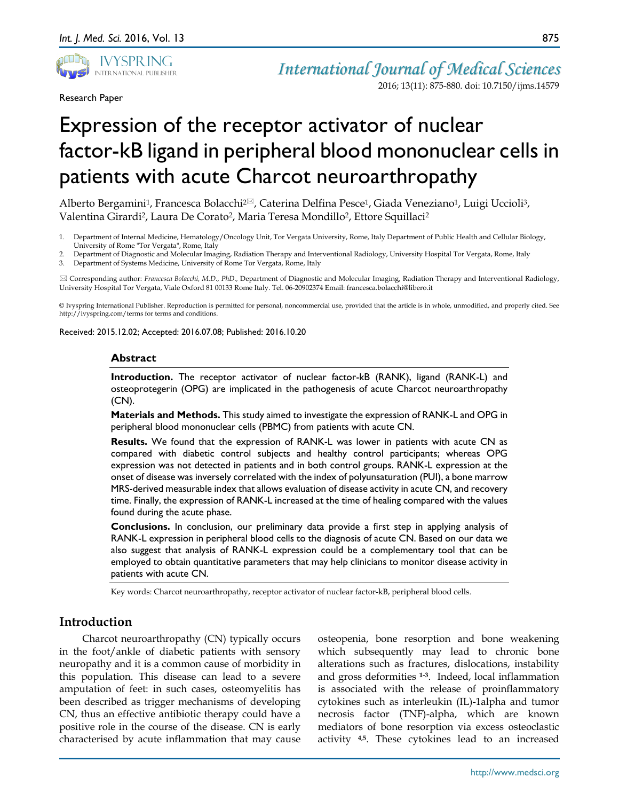

Research Paper

*International Journal of Medical Sciences* 2016; 13(11): 875-880. doi: 10.7150/ijms.14579

# Expression of the receptor activator of nuclear factor-kB ligand in peripheral blood mononuclear cells in patients with acute Charcot neuroarthropathy

Alberto Bergamini<sup>1</sup>, Francesca Bolacchi<sup>2 $\boxtimes$ </sup>, Caterina Delfina Pesce<sup>1</sup>, Giada Veneziano<sup>1</sup>, Luigi Uccioli<sup>3</sup>, Valentina Girardi<sup>2</sup>, Laura De Corato<sup>2</sup>, Maria Teresa Mondillo<sup>2</sup>, Ettore Squillaci<sup>2</sup>

- 1. Department of Internal Medicine, Hematology/Oncology Unit, Tor Vergata University, Rome, Italy Department of Public Health and Cellular Biology, University of Rome "Tor Vergata", Rome, Italy
- 2. Department of Diagnostic and Molecular Imaging, Radiation Therapy and Interventional Radiology, University Hospital Tor Vergata, Rome, Italy
- 3. Department of Systems Medicine, University of Rome Tor Vergata, Rome, Italy

 Corresponding author: *Francesca Bolacchi, M.D., PhD.,* Department of Diagnostic and Molecular Imaging, Radiation Therapy and Interventional Radiology, University Hospital Tor Vergata, Viale Oxford 81 00133 Rome Italy. Tel. 06-20902374 Email: francesca.bolacchi@libero.it

© Ivyspring International Publisher. Reproduction is permitted for personal, noncommercial use, provided that the article is in whole, unmodified, and properly cited. See http://ivyspring.com/terms for terms and conditions

Received: 2015.12.02; Accepted: 2016.07.08; Published: 2016.10.20

#### **Abstract**

**Introduction.** The receptor activator of nuclear factor-kB (RANK), ligand (RANK-L) and osteoprotegerin (OPG) are implicated in the pathogenesis of acute Charcot neuroarthropathy (CN).

**Materials and Methods.** This study aimed to investigate the expression of RANK-L and OPG in peripheral blood mononuclear cells (PBMC) from patients with acute CN.

**Results.** We found that the expression of RANK-L was lower in patients with acute CN as compared with diabetic control subjects and healthy control participants; whereas OPG expression was not detected in patients and in both control groups. RANK-L expression at the onset of disease was inversely correlated with the index of polyunsaturation (PUI), a bone marrow MRS-derived measurable index that allows evaluation of disease activity in acute CN, and recovery time. Finally, the expression of RANK-L increased at the time of healing compared with the values found during the acute phase.

**Conclusions.** In conclusion, our preliminary data provide a first step in applying analysis of RANK-L expression in peripheral blood cells to the diagnosis of acute CN. Based on our data we also suggest that analysis of RANK-L expression could be a complementary tool that can be employed to obtain quantitative parameters that may help clinicians to monitor disease activity in patients with acute CN.

Key words: Charcot neuroarthropathy, receptor activator of nuclear factor-kB, peripheral blood cells.

## **Introduction**

Charcot neuroarthropathy (CN) typically occurs in the foot/ankle of diabetic patients with sensory neuropathy and it is a common cause of morbidity in this population. This disease can lead to a severe amputation of feet: in such cases, osteomyelitis has been described as trigger mechanisms of developing CN, thus an effective antibiotic therapy could have a positive role in the course of the disease. CN is early characterised by acute inflammation that may cause

osteopenia, bone resorption and bone weakening which subsequently may lead to chronic bone alterations such as fractures, dislocations, instability and gross deformities **1-3**. Indeed, local inflammation is associated with the release of proinflammatory cytokines such as interleukin (IL)-1alpha and tumor necrosis factor (TNF)-alpha, which are known mediators of bone resorption via excess osteoclastic activity **4,5**. These cytokines lead to an increased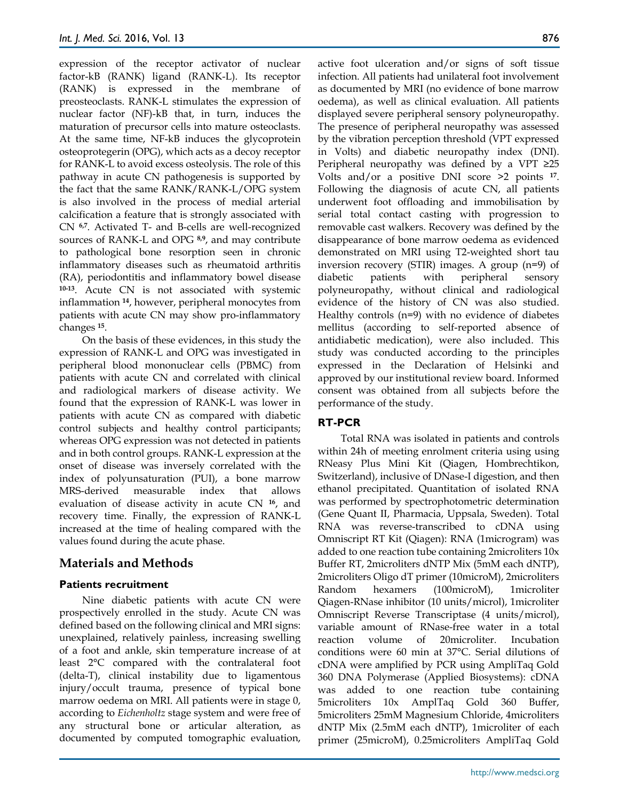expression of the receptor activator of nuclear factor-kB (RANK) ligand (RANK-L). Its receptor (RANK) is expressed in the membrane of preosteoclasts. RANK-L stimulates the expression of nuclear factor (NF)-kB that, in turn, induces the maturation of precursor cells into mature osteoclasts. At the same time, NF-kB induces the glycoprotein osteoprotegerin (OPG), which acts as a decoy receptor for RANK-L to avoid excess osteolysis. The role of this pathway in acute CN pathogenesis is supported by the fact that the same RANK/RANK-L/OPG system is also involved in the process of medial arterial calcification a feature that is strongly associated with CN **6,7**. Activated T- and B-cells are well-recognized sources of RANK-L and OPG **8,9**, and may contribute to pathological bone resorption seen in chronic inflammatory diseases such as rheumatoid arthritis (RA), periodontitis and inflammatory bowel disease **10-13**. Acute CN is not associated with systemic inflammation **14**, however, peripheral monocytes from patients with acute CN may show pro-inflammatory changes **15**.

On the basis of these evidences, in this study the expression of RANK-L and OPG was investigated in peripheral blood mononuclear cells (PBMC) from patients with acute CN and correlated with clinical and radiological markers of disease activity. We found that the expression of RANK-L was lower in patients with acute CN as compared with diabetic control subjects and healthy control participants; whereas OPG expression was not detected in patients and in both control groups. RANK-L expression at the onset of disease was inversely correlated with the index of polyunsaturation (PUI), a bone marrow MRS-derived measurable index that allows evaluation of disease activity in acute CN **16**, and recovery time. Finally, the expression of RANK-L increased at the time of healing compared with the values found during the acute phase.

# **Materials and Methods**

## **Patients recruitment**

Nine diabetic patients with acute CN were prospectively enrolled in the study. Acute CN was defined based on the following clinical and MRI signs: unexplained, relatively painless, increasing swelling of a foot and ankle, skin temperature increase of at least 2°C compared with the contralateral foot (delta-T), clinical instability due to ligamentous injury/occult trauma, presence of typical bone marrow oedema on MRI. All patients were in stage 0, according to *Eichenholtz* stage system and were free of any structural bone or articular alteration, as documented by computed tomographic evaluation,

active foot ulceration and/or signs of soft tissue infection. All patients had unilateral foot involvement as documented by MRI (no evidence of bone marrow oedema), as well as clinical evaluation. All patients displayed severe peripheral sensory polyneuropathy. The presence of peripheral neuropathy was assessed by the vibration perception threshold (VPT expressed in Volts) and diabetic neuropathy index (DNI). Peripheral neuropathy was defined by a VPT ≥25 Volts and/or a positive DNI score >2 points **17**. Following the diagnosis of acute CN, all patients underwent foot offloading and immobilisation by serial total contact casting with progression to removable cast walkers. Recovery was defined by the disappearance of bone marrow oedema as evidenced demonstrated on MRI using T2-weighted short tau inversion recovery (STIR) images. A group (n=9) of diabetic patients with peripheral sensory polyneuropathy, without clinical and radiological evidence of the history of CN was also studied. Healthy controls (n=9) with no evidence of diabetes mellitus (according to self-reported absence of antidiabetic medication), were also included. This study was conducted according to the principles expressed in the Declaration of Helsinki and approved by our institutional review board. Informed consent was obtained from all subjects before the performance of the study.

# **RT-PCR**

Total RNA was isolated in patients and controls within 24h of meeting enrolment criteria using using RNeasy Plus Mini Kit (Qiagen, Hombrechtikon, Switzerland), inclusive of DNase-I digestion, and then ethanol precipitated. Quantitation of isolated RNA was performed by spectrophotometric determination (Gene Quant II, Pharmacia, Uppsala, Sweden). Total RNA was reverse-transcribed to cDNA using Omniscript RT Kit (Qiagen): RNA (1microgram) was added to one reaction tube containing 2microliters 10x Buffer RT, 2microliters dNTP Mix (5mM each dNTP), 2microliters Oligo dT primer (10microM), 2microliters Random hexamers (100microM), 1microliter Qiagen-RNase inhibitor (10 units/microl), 1microliter Omniscript Reverse Transcriptase (4 units/microl), variable amount of RNase-free water in a total reaction volume of 20microliter. Incubation conditions were 60 min at 37°C. Serial dilutions of cDNA were amplified by PCR using AmpliTaq Gold 360 DNA Polymerase (Applied Biosystems): cDNA was added to one reaction tube containing 5microliters 10x AmplTaq Gold 360 Buffer, 5microliters 25mM Magnesium Chloride, 4microliters dNTP Mix (2.5mM each dNTP), 1microliter of each primer (25microM), 0.25microliters AmpliTaq Gold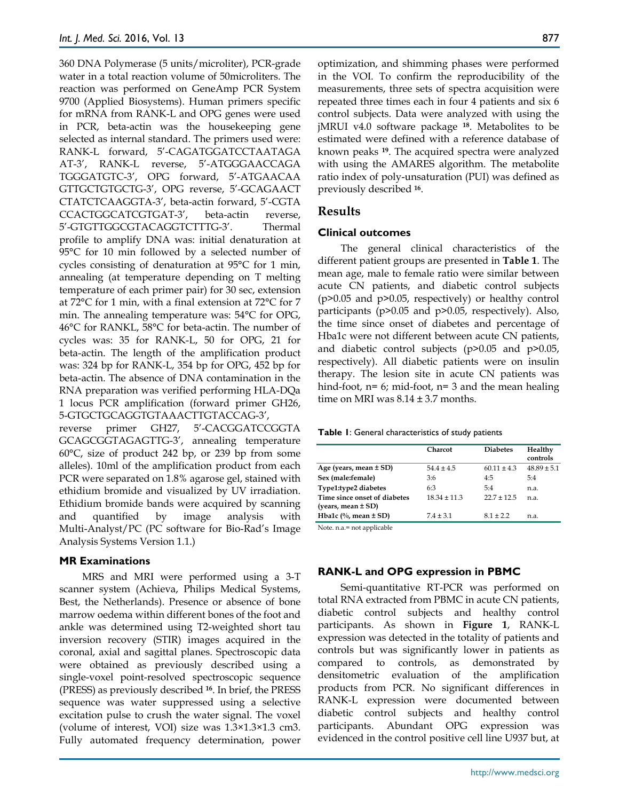360 DNA Polymerase (5 units/microliter), PCR-grade water in a total reaction volume of 50microliters. The reaction was performed on GeneAmp PCR System 9700 (Applied Biosystems). Human primers specific for mRNA from RANK-L and OPG genes were used in PCR, beta-actin was the housekeeping gene selected as internal standard. The primers used were: RANK-L forward, 5'-CAGATGGATCCTAATAGA AT-3', RANK-L reverse, 5'-ATGGGAACCAGA TGGGATGTC-3', OPG forward, 5'-ATGAACAA GTTGCTGTGCTG-3', OPG reverse, 5'-GCAGAACT CTATCTCAAGGTA-3', beta-actin forward, 5'-CGTA CCACTGGCATCGTGAT-3', beta-actin reverse, 5'-GTGTTGGCGTACAGGTCTTTG-3'. Thermal profile to amplify DNA was: initial denaturation at 95°C for 10 min followed by a selected number of cycles consisting of denaturation at 95°C for 1 min, annealing (at temperature depending on T melting temperature of each primer pair) for 30 sec, extension at 72°C for 1 min, with a final extension at 72°C for 7 min. The annealing temperature was: 54°C for OPG, 46°C for RANKL, 58°C for beta-actin. The number of cycles was: 35 for RANK-L, 50 for OPG, 21 for beta-actin. The length of the amplification product was: 324 bp for RANK-L, 354 bp for OPG, 452 bp for beta-actin. The absence of DNA contamination in the RNA preparation was verified performing HLA-DQa 1 locus PCR amplification (forward primer GH26, 5-GTGCTGCAGGTGTAAACTTGTACCAG-3', reverse primer GH27, 5'-CACGGATCCGGTA GCAGCGGTAGAGTTG-3', annealing temperature

60°C, size of product 242 bp, or 239 bp from some alleles). 10ml of the amplification product from each PCR were separated on 1.8% agarose gel, stained with ethidium bromide and visualized by UV irradiation. Ethidium bromide bands were acquired by scanning and quantified by image analysis with Multi-Analyst/PC (PC software for Bio-Rad's Image Analysis Systems Version 1.1.)

#### **MR Examinations**

MRS and MRI were performed using a 3-T scanner system (Achieva, Philips Medical Systems, Best, the Netherlands). Presence or absence of bone marrow oedema within different bones of the foot and ankle was determined using T2-weighted short tau inversion recovery (STIR) images acquired in the coronal, axial and sagittal planes. Spectroscopic data were obtained as previously described using a single-voxel point-resolved spectroscopic sequence (PRESS) as previously described **16**. In brief, the PRESS sequence was water suppressed using a selective excitation pulse to crush the water signal. The voxel (volume of interest, VOI) size was 1.3×1.3×1.3 cm3. Fully automated frequency determination, power

optimization, and shimming phases were performed in the VOI. To confirm the reproducibility of the measurements, three sets of spectra acquisition were repeated three times each in four 4 patients and six 6 control subjects. Data were analyzed with using the jMRUI v4.0 software package **18**. Metabolites to be estimated were defined with a reference database of known peaks **19**. The acquired spectra were analyzed with using the AMARES algorithm. The metabolite ratio index of poly-unsaturation (PUI) was defined as previously described **16**.

## **Results**

#### **Clinical outcomes**

The general clinical characteristics of the different patient groups are presented in **Table 1**. The mean age, male to female ratio were similar between acute CN patients, and diabetic control subjects (p>0.05 and p>0.05, respectively) or healthy control participants (p>0.05 and p>0.05, respectively). Also, the time since onset of diabetes and percentage of Hba1c were not different between acute CN patients, and diabetic control subjects (p>0.05 and p>0.05, respectively). All diabetic patients were on insulin therapy. The lesion site in acute CN patients was hind-foot,  $n=6$ ; mid-foot,  $n=3$  and the mean healing time on MRI was  $8.14 \pm 3.7$  months.

**Table 1**: General characteristics of study patients

|                              | Charcot          | <b>Diabetes</b> | Healthy<br>controls |
|------------------------------|------------------|-----------------|---------------------|
| Age (years, mean $\pm$ SD)   | $54.4 \pm 4.5$   | $60.11 \pm 4.3$ | $48.89 \pm 5.1$     |
| Sex (male:female)            | 3:6              | 4:5             | 5:4                 |
| Type1:type2 diabetes         | 6:3              | 5:4             | n.a.                |
| Time since onset of diabetes | $18.34 \pm 11.3$ | $22.7 \pm 12.5$ | n.a.                |
| (years, mean $\pm$ SD)       |                  |                 |                     |
| Hba1c (%, mean $\pm$ SD)     | $7.4 \pm 3.1$    | $8.1 \pm 2.2$   | n.a.                |
|                              |                  |                 |                     |

Note. n.a.= not applicable

## **RANK-L and OPG expression in PBMC**

Semi-quantitative RT-PCR was performed on total RNA extracted from PBMC in acute CN patients, diabetic control subjects and healthy control participants. As shown in **Figure 1**, RANK-L expression was detected in the totality of patients and controls but was significantly lower in patients as compared to controls, as demonstrated by densitometric evaluation of the amplification products from PCR. No significant differences in RANK-L expression were documented between diabetic control subjects and healthy control participants. Abundant OPG expression was evidenced in the control positive cell line U937 but, at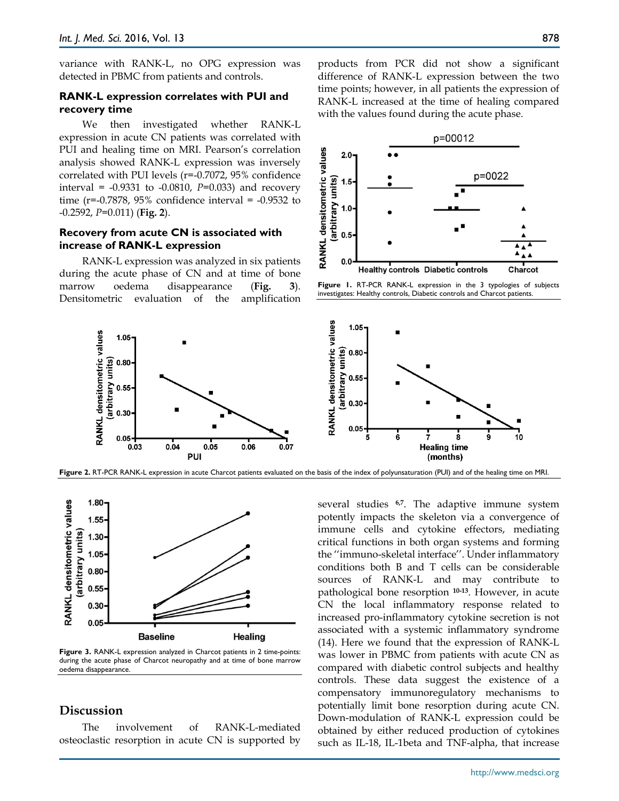variance with RANK-L, no OPG expression was detected in PBMC from patients and controls.

#### **RANK-L expression correlates with PUI and recovery time**

We then investigated whether RANK-L expression in acute CN patients was correlated with PUI and healing time on MRI. Pearson's correlation analysis showed RANK-L expression was inversely correlated with PUI levels (r=-0.7072, 95% confidence interval =  $-0.9331$  to  $-0.0810$ ,  $P=0.033$ ) and recovery time (r=-0.7878,  $95\%$  confidence interval = -0.9532 to -0.2592, *P*=0.011) (**Fig. 2**).

#### **Recovery from acute CN is associated with increase of RANK-L expression**

RANK-L expression was analyzed in six patients during the acute phase of CN and at time of bone marrow oedema disappearance (**Fig. 3**). Densitometric evaluation of the amplification products from PCR did not show a significant difference of RANK-L expression between the two time points; however, in all patients the expression of RANK-L increased at the time of healing compared with the values found during the acute phase.



**Figure 1.** RT-PCR RANK-L expression in the 3 typologies of subjects investigates: Healthy controls, Diabetic controls and Charcot patients.



**Figure 2.** RT-PCR RANK-L expression in acute Charcot patients evaluated on the basis of the index of polyunsaturation (PUI) and of the healing time on MRI.



**Figure 3.** RANK-L expression analyzed in Charcot patients in 2 time-points: during the acute phase of Charcot neuropathy and at time of bone marrow oedema disappearance.

#### **Discussion**

The involvement of RANK-L-mediated osteoclastic resorption in acute CN is supported by several studies **6,7**. The adaptive immune system potently impacts the skeleton via a convergence of immune cells and cytokine effectors, mediating critical functions in both organ systems and forming the ''immuno-skeletal interface''. Under inflammatory conditions both B and T cells can be considerable sources of RANK-L and may contribute to pathological bone resorption **10-13**. However, in acute CN the local inflammatory response related to increased pro-inflammatory cytokine secretion is not associated with a systemic inflammatory syndrome (14). Here we found that the expression of RANK-L was lower in PBMC from patients with acute CN as compared with diabetic control subjects and healthy controls. These data suggest the existence of a compensatory immunoregulatory mechanisms to potentially limit bone resorption during acute CN. Down-modulation of RANK-L expression could be obtained by either reduced production of cytokines such as IL-18, IL-1beta and TNF-alpha, that increase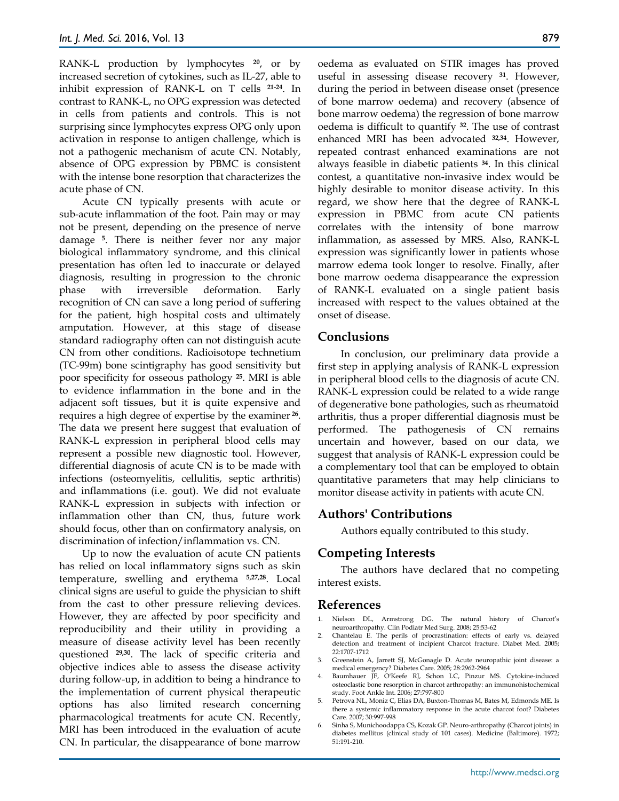RANK-L production by lymphocytes **20**, or by increased secretion of cytokines, such as IL-27, able to inhibit expression of RANK-L on T cells **21-24**. In contrast to RANK-L, no OPG expression was detected in cells from patients and controls. This is not surprising since lymphocytes express OPG only upon activation in response to antigen challenge, which is not a pathogenic mechanism of acute CN. Notably, absence of OPG expression by PBMC is consistent with the intense bone resorption that characterizes the acute phase of CN.

Acute CN typically presents with acute or sub-acute inflammation of the foot. Pain may or may not be present, depending on the presence of nerve damage **5**. There is neither fever nor any major biological inflammatory syndrome, and this clinical presentation has often led to inaccurate or delayed diagnosis, resulting in progression to the chronic phase with irreversible deformation. Early recognition of CN can save a long period of suffering for the patient, high hospital costs and ultimately amputation. However, at this stage of disease standard radiography often can not distinguish acute CN from other conditions. Radioisotope technetium (TC-99m) bone scintigraphy has good sensitivity but poor specificity for osseous pathology **25**. MRI is able to evidence inflammation in the bone and in the adjacent soft tissues, but it is quite expensive and requires a high degree of expertise by the examiner **<sup>26</sup>**. The data we present here suggest that evaluation of RANK-L expression in peripheral blood cells may represent a possible new diagnostic tool. However, differential diagnosis of acute CN is to be made with infections (osteomyelitis, cellulitis, septic arthritis) and inflammations (i.e. gout). We did not evaluate RANK-L expression in subjects with infection or inflammation other than CN, thus, future work should focus, other than on confirmatory analysis, on discrimination of infection/inflammation vs. CN.

Up to now the evaluation of acute CN patients has relied on local inflammatory signs such as skin temperature, swelling and erythema **5,27,28**. Local clinical signs are useful to guide the physician to shift from the cast to other pressure relieving devices. However, they are affected by poor specificity and reproducibility and their utility in providing a measure of disease activity level has been recently questioned **29,30**. The lack of specific criteria and objective indices able to assess the disease activity during follow-up, in addition to being a hindrance to the implementation of current physical therapeutic options has also limited research concerning pharmacological treatments for acute CN. Recently, MRI has been introduced in the evaluation of acute CN. In particular, the disappearance of bone marrow

oedema as evaluated on STIR images has proved useful in assessing disease recovery **31**. However, during the period in between disease onset (presence of bone marrow oedema) and recovery (absence of bone marrow oedema) the regression of bone marrow oedema is difficult to quantify **32**. The use of contrast enhanced MRI has been advocated **32,34**. However, repeated contrast enhanced examinations are not always feasible in diabetic patients **34**. In this clinical contest, a quantitative non-invasive index would be highly desirable to monitor disease activity. In this regard, we show here that the degree of RANK-L expression in PBMC from acute CN patients correlates with the intensity of bone marrow inflammation, as assessed by MRS. Also, RANK-L expression was significantly lower in patients whose marrow edema took longer to resolve. Finally, after bone marrow oedema disappearance the expression of RANK-L evaluated on a single patient basis increased with respect to the values obtained at the onset of disease.

#### **Conclusions**

In conclusion, our preliminary data provide a first step in applying analysis of RANK-L expression in peripheral blood cells to the diagnosis of acute CN. RANK-L expression could be related to a wide range of degenerative bone pathologies, such as rheumatoid arthritis, thus a proper differential diagnosis must be performed. The pathogenesis of CN remains uncertain and however, based on our data, we suggest that analysis of RANK-L expression could be a complementary tool that can be employed to obtain quantitative parameters that may help clinicians to monitor disease activity in patients with acute CN.

## **Authors' Contributions**

Authors equally contributed to this study.

# **Competing Interests**

The authors have declared that no competing interest exists.

#### **References**

- 1. Nielson DL, Armstrong DG. The natural history of Charcot's neuroarthropathy. Clin Podiatr Med Surg. 2008; 25:53-62
- 2. Chantelau E. The perils of procrastination: effects of early vs. delayed detection and treatment of incipient Charcot fracture. Diabet Med. 2005; 22:1707-1712
- 3. Greenstein A, Jarrett SJ, McGonagle D. Acute neuropathic joint disease: a medical emergency? Diabetes Care. 2005; 28:2962-2964
- 4. Baumhauer JF, O'Keefe RJ, Schon LC, Pinzur MS. Cytokine-induced osteoclastic bone resorption in charcot arthropathy: an immunohistochemical study. Foot Ankle Int. 2006; 27:797-800
- 5. Petrova NL, Moniz C, Elias DA, Buxton-Thomas M, Bates M, Edmonds ME. Is there a systemic inflammatory response in the acute charcot foot? Diabetes Care. 2007; 30:997-998
- 6. Sinha S, Munichoodappa CS, Kozak GP. Neuro-arthropathy (Charcot joints) in diabetes mellitus (clinical study of 101 cases). Medicine (Baltimore). 1972; 51:191-210.